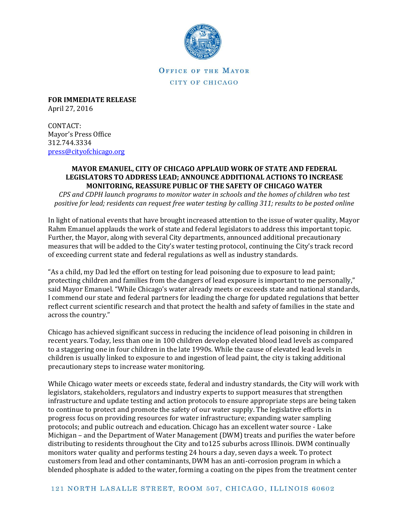

**OFFICE OF THE MAYOR** CITY OF CHICAGO

**FOR IMMEDIATE RELEASE** April 27, 2016

CONTACT: Mayor's Press Office 312.744.3334 [press@cityofchicago.org](mailto:press@cityofchicago.org)

#### **MAYOR EMANUEL, CITY OF CHICAGO APPLAUD WORK OF STATE AND FEDERAL LEGISLATORS TO ADDRESS LEAD; ANNOUNCE ADDITIONAL ACTIONS TO INCREASE MONITORING, REASSURE PUBLIC OF THE SAFETY OF CHICAGO WATER**

*CPS and CDPH launch programs to monitor water in schools and the homes of children who test positive for lead; residents can request free water testing by calling 311; results to be posted online*

In light of national events that have brought increased attention to the issue of water quality, Mayor Rahm Emanuel applauds the work of state and federal legislators to address this important topic. Further, the Mayor, along with several City departments, announced additional precautionary measures that will be added to the City's water testing protocol, continuing the City's track record of exceeding current state and federal regulations as well as industry standards.

"As a child, my Dad led the effort on testing for lead poisoning due to exposure to lead paint; protecting children and families from the dangers of lead exposure is important to me personally," said Mayor Emanuel. "While Chicago's water already meets or exceeds state and national standards, I commend our state and federal partners for leading the charge for updated regulations that better reflect current scientific research and that protect the health and safety of families in the state and across the country."

Chicago has achieved significant success in reducing the incidence of lead poisoning in children in recent years. Today, less than one in 100 children develop elevated blood lead levels as compared to a staggering one in four children in the late 1990s. While the cause of elevated lead levels in children is usually linked to exposure to and ingestion of lead paint, the city is taking additional precautionary steps to increase water monitoring.

While Chicago water meets or exceeds state, federal and industry standards, the City will work with legislators, stakeholders, regulators and industry experts to support measures that strengthen infrastructure and update testing and action protocols to ensure appropriate steps are being taken to continue to protect and promote the safety of our water supply. The legislative efforts in progress focus on providing resources for water infrastructure; expanding water sampling protocols; and public outreach and education. Chicago has an excellent water source - Lake Michigan – and the Department of Water Management (DWM) treats and purifies the water before distributing to residents throughout the City and to125 suburbs across Illinois. DWM continually monitors water quality and performs testing 24 hours a day, seven days a week. To protect customers from lead and other contaminants, DWM has an anti-corrosion program in which a blended phosphate is added to the water, forming a coating on the pipes from the treatment center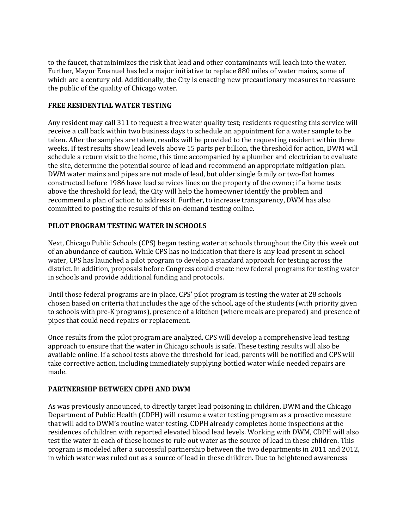to the faucet, that minimizes the risk that lead and other contaminants will leach into the water. Further, Mayor Emanuel has led a major initiative to replace 880 miles of water mains, some of which are a century old. Additionally, the City is enacting new precautionary measures to reassure the public of the quality of Chicago water.

#### **FREE RESIDENTIAL WATER TESTING**

Any resident may call 311 to request a free water quality test; residents requesting this service will receive a call back within two business days to schedule an appointment for a water sample to be taken. After the samples are taken, results will be provided to the requesting resident within three weeks. If test results show lead levels above 15 parts per billion, the threshold for action, DWM will schedule a return visit to the home, this time accompanied by a plumber and electrician to evaluate the site, determine the potential source of lead and recommend an appropriate mitigation plan. DWM water mains and pipes are not made of lead, but older single family or two-flat homes constructed before 1986 have lead services lines on the property of the owner; if a home tests above the threshold for lead, the City will help the homeowner identify the problem and recommend a plan of action to address it. Further, to increase transparency, DWM has also committed to posting the results of this on-demand testing online.

# **PILOT PROGRAM TESTING WATER IN SCHOOLS**

Next, Chicago Public Schools (CPS) began testing water at schools throughout the City this week out of an abundance of caution. While CPS has no indication that there is any lead present in school water, CPS has launched a pilot program to develop a standard approach for testing across the district. In addition, proposals before Congress could create new federal programs for testing water in schools and provide additional funding and protocols.

Until those federal programs are in place, CPS' pilot program is testing the water at 28 schools chosen based on criteria that includes the age of the school, age of the students (with priority given to schools with pre-K programs), presence of a kitchen (where meals are prepared) and presence of pipes that could need repairs or replacement.

Once results from the pilot program are analyzed, CPS will develop a comprehensive lead testing approach to ensure that the water in Chicago schools is safe. These testing results will also be available online. If a school tests above the threshold for lead, parents will be notified and CPS will take corrective action, including immediately supplying bottled water while needed repairs are made.

### **PARTNERSHIP BETWEEN CDPH AND DWM**

As was previously announced, to directly target lead poisoning in children, DWM and the Chicago Department of Public Health (CDPH) will resume a water testing program as a proactive measure that will add to DWM's routine water testing. CDPH already completes home inspections at the residences of children with reported elevated blood lead levels. Working with DWM, CDPH will also test the water in each of these homes to rule out water as the source of lead in these children. This program is modeled after a successful partnership between the two departments in 2011 and 2012, in which water was ruled out as a source of lead in these children. Due to heightened awareness